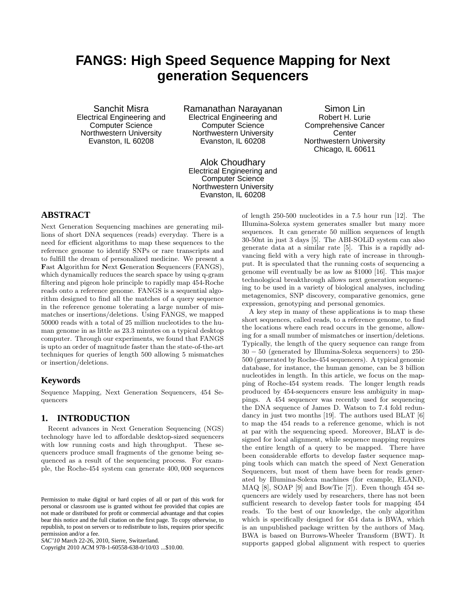# **FANGS: High Speed Sequence Mapping for Next generation Sequencers**

Sanchit Misra Electrical Engineering and Computer Science Northwestern University Evanston, IL 60208

Ramanathan Narayanan Electrical Engineering and Computer Science Northwestern University Evanston, IL 60208

Alok Choudhary Electrical Engineering and Computer Science Northwestern University Evanston, IL 60208

Simon Lin Robert H. Lurie Comprehensive Cancer **Center** Northwestern University Chicago, IL 60611

# **ABSTRACT**

Next Generation Sequencing machines are generating millions of short DNA sequences (reads) everyday. There is a need for efficient algorithms to map these sequences to the reference genome to identify SNPs or rare transcripts and to fulfill the dream of personalized medicine. We present a Fast Algorithm for Next Generation Sequencers (FANGS), which dynamically reduces the search space by using q-gram filtering and pigeon hole principle to rapidly map 454-Roche reads onto a reference genome. FANGS is a sequential algorithm designed to find all the matches of a query sequence in the reference genome tolerating a large number of mismatches or insertions/deletions. Using FANGS, we mapped 50000 reads with a total of 25 million nucleotides to the human genome in as little as 23.3 minutes on a typical desktop computer. Through our experiments, we found that FANGS is upto an order of magnitude faster than the state-of-the-art techniques for queries of length 500 allowing 5 mismatches or insertion/deletions.

## **Keywords**

Sequence Mapping, Next Generation Sequencers, 454 Sequencers

#### **1. INTRODUCTION**

Recent advances in Next Generation Sequencing (NGS) technology have led to affordable desktop-sized sequencers with low running costs and high throughput. These sequencers produce small fragments of the genome being sequenced as a result of the sequencing process. For example, the Roche-454 system can generate 400, 000 sequences

Copyright 2010 ACM 978-1-60558-638-0/10/03 ...\$10.00.

of length 250-500 nucleotides in a 7.5 hour run [12]. The Illumina-Solexa system generates smaller but many more sequences. It can generate 50 million sequences of length 30-50nt in just 3 days [5]. The ABI-SOLiD system can also generate data at a similar rate [5]. This is a rapidly advancing field with a very high rate of increase in throughput. It is speculated that the running costs of sequencing a genome will eventually be as low as \$1000 [16]. This major technological breakthrough allows next generation sequencing to be used in a variety of biological analyses, including metagenomics, SNP discovery, comparative genomics, gene expression, genotyping and personal genomics.

A key step in many of these applications is to map these short sequences, called reads, to a reference genome, to find the locations where each read occurs in the genome, allowing for a small number of mismatches or insertion/deletions. Typically, the length of the query sequence can range from 30 − 50 (generated by Illumina-Solexa sequencers) to 250- 500 (generated by Roche-454 sequencers). A typical genomic database, for instance, the human genome, can be 3 billion nucleotides in length. In this article, we focus on the mapping of Roche-454 system reads. The longer length reads produced by 454-sequencers ensure less ambiguity in mappings. A 454 sequencer was recently used for sequencing the DNA sequence of James D. Watson to 7.4 fold redundancy in just two months [19]. The authors used BLAT [6] to map the 454 reads to a reference genome, which is not at par with the sequencing speed. Moreover, BLAT is designed for local alignment, while sequence mapping requires the entire length of a query to be mapped. There have been considerable efforts to develop faster sequence mapping tools which can match the speed of Next Generation Sequencers, but most of them have been for reads generated by Illumina-Solexa machines (for example, ELAND, MAQ [8], SOAP [9] and BowTie [7]). Even though 454 sequencers are widely used by researchers, there has not been sufficient research to develop faster tools for mapping 454 reads. To the best of our knowledge, the only algorithm which is specifically designed for 454 data is BWA, which is an unpublished package written by the authors of Maq. BWA is based on Burrows-Wheeler Transform (BWT). It supports gapped global alignment with respect to queries

Permission to make digital or hard copies of all or part of this work for personal or classroom use is granted without fee provided that copies are not made or distributed for profit or commercial advantage and that copies bear this notice and the full citation on the first page. To copy otherwise, to republish, to post on servers or to redistribute to lists, requires prior specific permission and/or a fee.

*SAC'10* March 22-26, 2010, Sierre, Switzerland.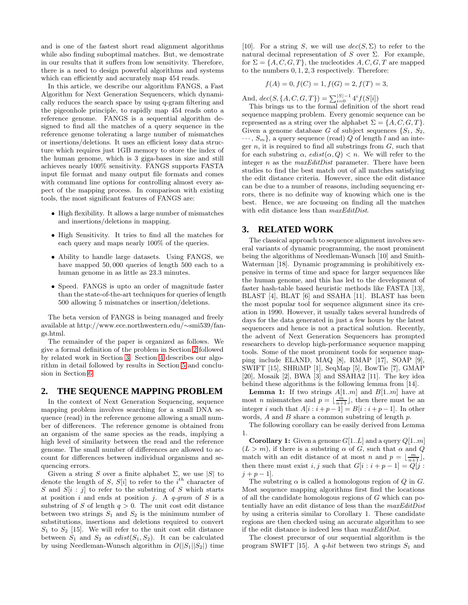and is one of the fastest short read alignment algorithms while also finding suboptimal matches. But, we demostrate in our results that it suffers from low sensitivity. Therefore, there is a need to design powerful algorithms and systems which can efficiently and accurately map 454 reads.

In this article, we describe our algorithm FANGS, a Fast Algorithm for Next Generation Sequencers, which dynamically reduces the search space by using q-gram filtering and the pigeonhole principle, to rapidly map 454 reads onto a reference genome. FANGS is a sequential algorithm designed to find all the matches of a query sequence in the reference genome tolerating a large number of mismatches or insertions/deletions. It uses an efficient lossy data structure which requires just 1GB memory to store the index of the human genome, which is 3 giga-bases in size and still achieves nearly 100% sensitivity. FANGS supports FASTA input file format and many output file formats and comes with command line options for controlling almost every aspect of the mapping process. In comparison with existing tools, the most significant features of FANGS are:

- High flexibility. It allows a large number of mismatches and insertions/deletions in mapping.
- High Sensitivity. It tries to find all the matches for each query and maps nearly 100% of the queries.
- Ability to handle large datasets. Using FANGS, we have mapped 50, 000 queries of length 500 each to a human genome in as little as 23.3 minutes.
- Speed. FANGS is upto an order of magnitude faster than the state-of-the-art techniques for queries of length 500 allowing 5 mismatches or insertion/deletions.

The beta version of FANGS is being managed and freely available at http://www.ece.northwestern.edu/∼smi539/fangs.html.

The remainder of the paper is organized as follows. We give a formal definition of the problem in Section [2](#page-1-0) followed by related work in Section [3.](#page-1-1) Section [4](#page-2-0) describes our algorithm in detail followed by results in Section [5](#page-4-0) and conclusion in Section [6.](#page-6-0)

## <span id="page-1-0"></span>**2. THE SEQUENCE MAPPING PROBLEM**

In the context of Next Generation Sequencing, sequence mapping problem involves searching for a small DNA sequence (read) in the reference genome allowing a small number of differences. The reference genome is obtained from an organism of the same species as the reads, implying a high level of similarity between the read and the reference genome. The small number of differences are allowed to account for differences between individual organisms and sequencing errors.

Given a string S over a finite alphabet  $\Sigma$ , we use  $|S|$  to denote the length of S,  $S[i]$  to refer to the i<sup>th</sup> character of S and  $S[i : j]$  to refer to the substring of S which starts at position i and ends at position j. A  $q\text{-}qram$  of S is a substring of S of length  $q > 0$ . The unit cost edit distance between two strings  $S_1$  and  $S_2$  is the minimum number of substitutions, insertions and deletions required to convert  $S_1$  to  $S_2$  [15]. We will refer to the unit cost edit distance between  $S_1$  and  $S_2$  as  $edist(S_1, S_2)$ . It can be calculated by using Needleman-Wunsch algorithm in  $O(|S_1||S_2|)$  time

[10]. For a string S, we will use  $dec(S, \Sigma)$  to refer to the natural decimal representation of S over  $\Sigma$ . For example, for  $\Sigma = \{A, C, G, T\}$ , the nucleotides  $A, C, G, T$  are mapped to the numbers 0, 1, 2, 3 respectively. Therefore:

$$
f(A) = 0, f(C) = 1, f(G) = 2, f(T) = 3,
$$

And,  $dec(S, \{A, C, G, T\}) = \sum_{i=0}^{|S|-1} 4^i f(S[i])$ 

This brings us to the formal definition of the short read sequence mapping problem. Every genomic sequence can be represented as a string over the alphabet  $\Sigma = \{A, C, G, T\}.$ Given a genome database G of subject sequences  $\{S_1, S_2,$  $\cdots$ ,  $S_m$ , a query sequence (read) Q of length l and an integer  $n$ , it is required to find all substrings from  $G$ , such that for each substring  $\alpha$ ,  $edist(\alpha, Q) < n$ . We will refer to the integer  $n$  as the  $maxEditDist$  parameter. There have been studies to find the best match out of all matches satisfying the edit distance criteria. However, since the edit distance can be due to a number of reasons, including sequencing errors, there is no definite way of knowing which one is the best. Hence, we are focussing on finding all the matches with edit distance less than maxEditDist.

## <span id="page-1-1"></span>**3. RELATED WORK**

The classical approach to sequence alignment involves several variants of dynamic programming, the most prominent being the algorithms of Needleman-Wunsch [10] and Smith-Waterman [18]. Dynamic programming is prohibitively expensive in terms of time and space for larger sequences like the human genome, and this has led to the development of faster hash-table based heuristic methods like FASTA [13], BLAST [4], BLAT [6] and SSAHA [11]. BLAST has been the most popular tool for sequence alignment since its creation in 1990. However, it usually takes several hundreds of days for the data generated in just a few hours by the latest sequencers and hence is not a practical solution. Recently, the advent of Next Generation Sequencers has prompted researchers to develop high-performance sequence mapping tools. Some of the most prominent tools for sequence mapping include ELAND, MAQ [8], RMAP [17], SOAP [9], SWIFT [15], SHRiMP [1], SeqMap [5], BowTie [7], GMAP [20], Mosaik [2], BWA [3] and SSAHA2 [11]. The key idea behind these algorithms is the following lemma from [14].

**Lemma 1:** If two strings  $A[1..m]$  and  $B[1..m]$  have at most *n* mismatches and  $p = \lfloor \frac{m}{n+1} \rfloor$ , then there must be an integer i such that  $A[i : i + p - 1] = B[i : i + p - 1]$ . In other words,  $A$  and  $B$  share a common substring of length  $p$ .

The following corollary can be easily derived from Lemma 1.

**Corollary 1:** Given a genome  $G[1..L]$  and a query  $Q[1..m]$  $(L > m)$ , if there is a substring  $\alpha$  of G, such that  $\alpha$  and Q match with an edit distance of at most n and  $p = \lfloor \frac{m}{n+1} \rfloor$ , then there must exist i, j such that  $G[i : i + p - 1] = Q[j]$ :  $j + p - 1$ .

The substring  $\alpha$  is called a homologous region of Q in G. Most sequence mapping algorithms first find the locations of all the candidate homologous regions of G which can potentially have an edit distance of less than the maxEditDist by using a criteria similar to Corollary 1. These candidate regions are then checked using an accurate algorithm to see if the edit distance is indeed less than maxEditDist.

The closest precursor of our sequential algorithm is the program SWIFT [15]. A  $q$ -hit between two strings  $S_1$  and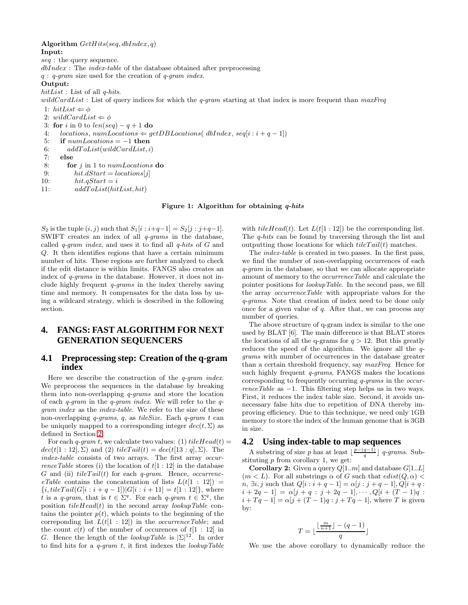#### Algorithm  $GetHits(seq, dbIndex, q)$ Input:

seq : the query sequence.  $dbIndex$ : The *index-table* of the database obtained after preprocessing  $q : q\text{-}gram$  size used for the creation of  $q\text{-}gram$  index. Output:  $hitList$ : List of all  $q\text{-}hits$ . wildCardList : List of query indices for which the  $q\text{-}gram$  starting at that index is more frequent than  $maxFreq$ 1:  $hitList \Leftarrow \phi$ 2: wildCardList  $\Leftarrow \phi$ 3: for i in 0 to  $len(seq) - q + 1$  do 4: locations, numLocations  $\Leftarrow$  getDBLocations( dbIndex, seq[i : i + q - 1]) 5: if  $numLocations = -1$  then 6:  $addToList(wildCardList,i)$ 7: else 8: for  $j$  in 1 to numLocations do 9:  $hit.dStart = locations[j]$ 10:  $hit.qStart = i$ 11:  $addToList(hittList, hit)$ 

#### <span id="page-2-1"></span>Figure 1: Algorithm for obtaining q-hits

S<sub>2</sub> is the tuple  $(i, j)$  such that  $S_1[i : i+q-1] = S_2[j : j+q-1]$ . SWIFT creates an index of all  $q\text{-}grams$  in the database, called  $q$ -gram index, and uses it to find all  $q$ -hits of  $G$  and Q. It then identifies regions that have a certain minimum number of hits. These regions are further analyzed to check if the edit distance is within limits. FANGS also creates an index of q-grams in the database. However, it does not include highly frequent  $q$ -grams in the index thereby saving time and memory. It compensates for the data loss by using a wildcard strategy, which is described in the following section.

# <span id="page-2-0"></span>**4. FANGS: FAST ALGORITHM FOR NEXT GENERATION SEQUENCERS**

## **4.1 Preprocessing step: Creation of the q-gram index**

Here we describe the construction of the  $q\text{-}gram$  index. We preprocess the sequences in the database by breaking them into non-overlapping q-grams and store the location of each  $q$ -gram in the  $q$ -gram index. We will refer to the  $q$ gram index as the index-table. We refer to the size of these non-overlapping *q-qrams*, *q*, as *tileSize*. Each *q-qram*  $t$  can be uniquely mapped to a corresponding integer  $dec(t, \Sigma)$  as defined in Section [2.](#page-1-0)

For each *q-qram t*, we calculate two values: (1)  $tileHead(t)$  =  $dec(t[1:12],\Sigma)$  and (2)  $tileTail(t) = dec(t[13:q],\Sigma)$ . The index-table consists of two arrays. The first array occurrence Table stores (i) the location of  $t[1:12]$  in the database G and (ii)  $tileTail(t)$  for each q-qram. Hence, occurrenceTable contains the concatenation of lists  $L(t[1 : 12]) =$  ${i, tileTail(G[i : i + q - 1])[G[i : i + 11] = t[1 : 12]},$  where t is a q-gram, that is  $t \in \Sigma^q$ . For each q-gram  $t \in \Sigma^q$ , the position  $tileHead(t)$  in the second array *lookupTable* contains the pointer  $p(t)$ , which points to the beginning of the correponding list  $L(t[1 : 12])$  in the *occurrenceTable*; and the count  $c(t)$  of the number of occurences of  $t[1:12]$  in G. Hence the length of the *lookupTable* is  $|\Sigma|^{12}$ . In order to find hits for a  $q\text{-}gram$  t, it first indexes the *lookupTable* 

with  $tileHead(t)$ . Let  $L(t[1:12])$  be the corresponding list. The q-hits can be found by traversing through the list and outputting those locations for which  $tileTail(t)$  matches.

The index-table is created in two passes. In the first pass, we find the number of non-overlapping occurrences of each q-gram in the database, so that we can allocate appropriate amount of memory to the occurrenceTable and calculate the pointer positions for lookupTable. In the second pass, we fill the array occurrenceTable with appropriate values for the q-grams. Note that creation of index need to be done only once for a given value of  $q$ . After that, we can process any number of queries.

The above structure of q-gram index is similar to the one used by BLAT [6]. The main difference is that BLAT stores the locations of all the q-grams for  $q > 12$ . But this greatly reduces the speed of the algorithm. We ignore all the qgrams with number of occurrences in the database greater than a certain threshold frequency, say maxFreq. Hence for such highly frequent  $q$ -grams, FANGS makes the locations corresponding to frequently occurring q-grams in the occur $renceTable$  as  $-1$ . This filtering step helps us in two ways. First, it reduces the index table size. Second, it avoids unnecessary false hits due to repetition of DNA thereby improving efficiency. Due to this technique, we need only 1GB memory to store the index of the human genome that is 3GB in size.

## **4.2 Using index-table to map sequences**

A substring of size p has at least  $\lfloor \frac{p-(q-1)}{q} \rfloor$  q-grams. Substituting  $p$  from corollary 1, we get:

**Corollary 2:** Given a query  $Q[1..m]$  and database  $G[1..L]$  $(m < L)$ . For all substrings  $\alpha$  of G such that  $edist(Q, \alpha)$ *n*,  $\exists i, j$  such that  $Q[i : i + q - 1] = \alpha[j : j + q - 1], Q[i + q : j]$  $i + 2q - 1$ ] =  $\alpha[j + q : j + 2q - 1], \cdots, Q[i + (T - 1)q :$  $i + Tq - 1] = \alpha[j + (T - 1)q : j + Tq - 1]$ , where T is given by:

$$
T = \lfloor \frac{\lfloor \frac{m}{n+1} \rfloor - (q-1)}{q} \rfloor
$$

We use the above corollary to dynamically reduce the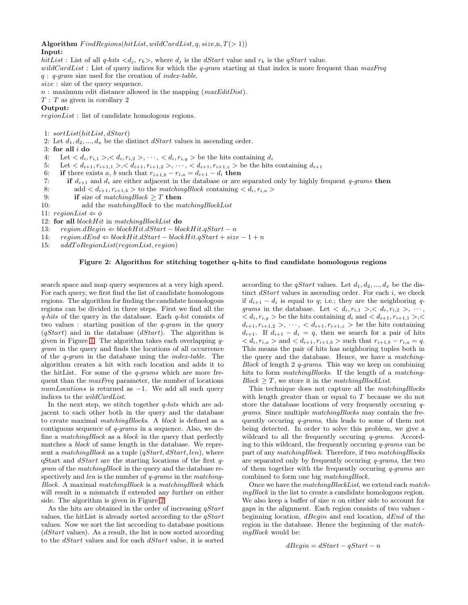Algorithm  $FindRegions(hittList, wildCardList, q, size, n, T(> 1))$ Input:

hitList : List of all q-hits  $\langle d_i, r_k \rangle$ , where  $d_i$  is the dStart value and  $r_k$  is the qStart value. wildCardList : List of query indices for which the  $q$ -gram starting at that index is more frequent than maxFreq  $q: q\text{-}gram$  size used for the creation of *index-table*. size : size of the query sequence.

- $n:$  maximum edit distance allowed in the mapping  $(maxEditDist)$ .
- $T$ :  $T$  as given in corollary 2

Output:

regionList : list of candidate homologous regions.

- 1: sortList(hitList, dStart)
- 2: Let  $d_1, d_2, ..., d_x$  be the distinct *dStart* values in ascending order.
- 3: for all  $i$  do
- 4: Let  $\langle d_i, r_{i,1} \rangle, \langle d_i, r_{i,2} \rangle, \cdots, \langle d_i, r_{i,y} \rangle$  be the hits containing  $d_i$
- 5: Let  $\langle d_{i+1}, r_{i+1,1} \rangle, \langle d_{i+1}, r_{i+1,2} \rangle, \cdots, \langle d_{i+1}, r_{i+1,z} \rangle$  be the hits containing  $d_{i+1}$

6: if there exists a, b such that  $r_{i+1,b} - r_{i,a} = d_{i+1} - d_i$  then

- 7: if  $d_{i+1}$  and  $d_i$  are either adjacent in the database or are separated only by highly frequent  $q$ -grams then
- 8: add  $\langle d_{i+1}, r_{i+1,b} \rangle$  to the matching Block containing  $\langle d_i, r_{i,a} \rangle$
- 9: if size of matchingBlock  $\geq T$  then
- 10: add the matchingBlock to the matchingBlockList
- 11:  $regionList \Leftarrow \phi$
- 12: for all blockHit in matchingBlockList do
- 13:  $region.dBegin \Leftarrow blockHit.dStart blockHit.qStart n$
- 14:  $region.dEnd \Leftarrow blockHit.dStart blockHit.qStart + size 1 + n$
- 15: addT oRegionList(regionList, region)

#### <span id="page-3-0"></span>Figure 2: Algorithm for stitching together q-hits to find candidate homologous regions

search space and map query sequences at a very high speed. For each query, we first find the list of candidate homologous regions. The algorithm for finding the candidate homologous regions can be divided in three steps. First we find all the  $q$ -hits of the query in the database. Each  $q$ -hit consists of two values : starting position of the  $q\text{-}gram$  in the query  $(qStart)$  and in the database  $(dStart)$ . The algorithm is given in Figure [1.](#page-2-1) The algorithm takes each overlapping qgram in the query and finds the locations of all occurrence of the q-gram in the database using the index-table. The algorithm creates a hit with each location and adds it to the hitList. For some of the  $q$ -grams which are more frequent than the *maxFreq* parameter, the number of locations  $numLocations$  is returned as  $-1$ . We add all such query indices to the wildCardList.

In the next step, we stitch together  $q$ -hits which are adjacent to each other both in the query and the database to create maximal matchingBlocks. A block is defined as a contiguous sequence of q-grams in a sequence. Also, we define a matchingBlock as a block in the query that perfectly matches a block of same length in the database. We represent a matchingBlock as a tuple  $(qStart, dStart, len)$ , where  $qStart$  and  $dStart$  are the starting locations of the first  $q$ gram of the matchingBlock in the query and the database respectively and len is the number of q-grams in the matching-Block. A maximal matchingBlock is a matchingBlock which will result in a mismatch if extended any further on either side. The algorithm is given in Figure [2.](#page-3-0)

As the hits are obtained in the order of increasing  $qStart$ values, the hitList is already sorted according to the  $qStart$ values. Now we sort the list according to database positions  $(dStart$  values). As a result, the list is now sorted according to the dStart values and for each dStart value, it is sorted

according to the *qStart* values. Let  $d_1, d_2, ..., d_x$  be the distinct  $dStart$  values in ascending order. For each i, we check if  $d_{i+1} - d_i$  is equal to q; i.e.; they are the neighboring qgrams in the database. Let  $\langle d_i, r_{i,1} \rangle, \langle d_i, r_{i,2} \rangle, \cdots$ ,  $d_i$ ,  $r_{i,y}$  be the hits containing  $d_i$  and  $d_i$ ,  $r_{i+1,1}$ ,  $r_{i+1,1}$ ,  $d_{i+1}, r_{i+1,2} >, \dots, d_{i+1}, r_{i+1,z} > \text{be the hits containing}$  $d_{i+1}$ . If  $d_{i+1} - d_i = q$ , then we search for a pair of hits  $d_i, r_{i,a} > \text{and} < d_{i+1}, r_{i+1,b} > \text{such that } r_{i+1,b} - r_{i,a} = q.$ This means the pair of hits has neighboring tuples both in the query and the database. Hence, we have a matching-Block of length 2  $q$ -grams. This way we keep on combining hits to form *matchingBlocks*. If the length of a *matching*- $Block \geq T$ , we store it in the matchingBlockList.

This technique does not capture all the matchingBlocks with length greater than or equal to T because we do not store the database locations of very frequently occuring qgrams. Since multiple matchingBlocks may contain the frequently occuring q-grams, this leads to some of them not being detected. In order to solve this problem, we give a wildcard to all the frequently occuring *q-grams*. According to this wildcard, the frequently occuring q-grams can be part of any matchingBlock. Therefore, if two matchingBlocks are separated only by frequently occuring q-grams, the two of them together with the frequently occuring  $q$ -grams are combined to form one big matchingBlock.

Once we have the matchingBlockList, we extend each matchingBlock in the list to create a candidate homologous region. We also keep a buffer of size  $n$  on either side to account for gaps in the alignment. Each region consists of two values beginning location,  $dBegin$  and end location,  $dEnd$  of the region in the database. Hence the beginning of the matchingBlock would be:

$$
dBegin = dStart - qStart - n
$$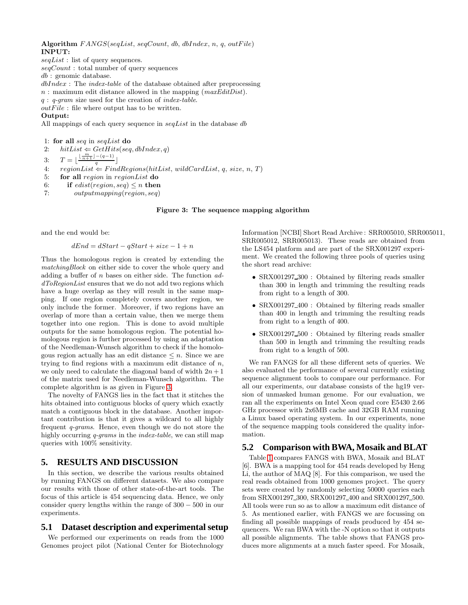Algorithm  $FANGS(seqList, seqCount, db, dbIndex, n, q, outFile)$ INPUT:

seqList : list of query sequences.

seqCount : total number of query sequences

db : genomic database.

 $dbIndex:$  The *index-table* of the database obtained after preprocessing

 $n:$  maximum edit distance allowed in the mapping  $(maxEditDist)$ .

 $q: q\text{-}gram$  size used for the creation of *index-table*.

 $outFile$ : file where output has to be written.

#### Output:

All mappings of each query sequence in  $seqList$  in the database db

- 1: for all seq in seqList do
- 2:  $hitList \Leftarrow GetHits(seq, dbIndex, q)$

3:  $T = \lfloor \frac{\lfloor \frac{m}{n+1} \rfloor - (q-1)}{q} \rfloor$ 

- 4:  $regionList \Leftarrow Find Regions(hittList, wildCardList, q, size, n, T)$
- 5: for all region in regionList do
- 6: if  $edist(region, seq) \leq n$  then
- 7: outputmapping(region, seq)

#### <span id="page-4-1"></span>Figure 3: The sequence mapping algorithm

and the end would be:

 $dEnd = dStart - qStart + size - 1 + n$ 

Thus the homologous region is created by extending the matchingBlock on either side to cover the whole query and adding a buffer of n bases on either side. The function addToRegionList ensures that we do not add two regions which have a huge overlap as they will result in the same mapping. If one region completely covers another region, we only include the former. Moreover, if two regions have an overlap of more than a certain value, then we merge them together into one region. This is done to avoid multiple outputs for the same homologous region. The potential homologous region is further processed by using an adaptation of the Needleman-Wunsch algorithm to check if the homologous region actually has an edit distance  $\leq n$ . Since we are trying to find regions with a maximum edit distance of  $n$ . we only need to calculate the diagonal band of width  $2n+1$ of the matrix used for Needleman-Wunsch algorithm. The complete algorithm is as given in Figure [3.](#page-4-1)

The novelty of FANGS lies in the fact that it stitches the hits obtained into contiguous blocks of query which exactly match a contiguous block in the database. Another important contribution is that it gives a wildcard to all highly frequent q-grams. Hence, even though we do not store the highly occurring *q-grams* in the *index-table*, we can still map queries with 100% sensitivity.

# <span id="page-4-0"></span>**5. RESULTS AND DISCUSSION**

In this section, we describe the various results obtained by running FANGS on different datasets. We also compare our results with those of other state-of-the-art tools. The focus of this article is 454 sequencing data. Hence, we only consider query lengths within the range of 300 − 500 in our experiments.

## **5.1 Dataset description and experimental setup**

We performed our experiments on reads from the 1000 Genomes project pilot (National Center for Biotechnology

Information [NCBI] Short Read Archive : SRR005010, SRR005011, SRR005012, SRR005013). These reads are obtained from the LS454 platform and are part of the SRX001297 experiment. We created the following three pools of queries using the short read archive:

- SRX001297 300 : Obtained by filtering reads smaller than 300 in length and trimming the resulting reads from right to a length of 300.
- SRX001297 400 : Obtained by filtering reads smaller than 400 in length and trimming the resulting reads from right to a length of 400.
- SRX001297<sub>-500</sub>: Obtained by filtering reads smaller than 500 in length and trimming the resulting reads from right to a length of 500.

We ran FANGS for all these different sets of queries. We also evaluated the performance of several currently existing sequence alignment tools to compare our performance. For all our experiments, our database consists of the hg19 version of unmasked human genome. For our evaluation, we ran all the experiments on Intel Xeon quad core E5430 2.66 GHz processor with 2x6MB cache and 32GB RAM running a Linux based operating system. In our experiments, none of the sequence mapping tools considered the quality information.

# **5.2 Comparison with BWA, Mosaik and BLAT**

Table [1](#page-5-0) compares FANGS with BWA, Mosaik and BLAT [6]. BWA is a mapping tool for 454 reads developed by Heng Li, the author of MAQ [8]. For this comparison, we used the real reads obtained from 1000 genomes project. The query sets were created by randomly selecting 50000 queries each from SRX001297 300, SRX001297 400 and SRX001297 500. All tools were run so as to allow a maximum edit distance of 5. As mentioned earlier, with FANGS we are focussing on finding all possible mappings of reads produced by 454 sequencers. We ran BWA with the -N option so that it outputs all possible alignments. The table shows that FANGS produces more alignments at a much faster speed. For Mosaik,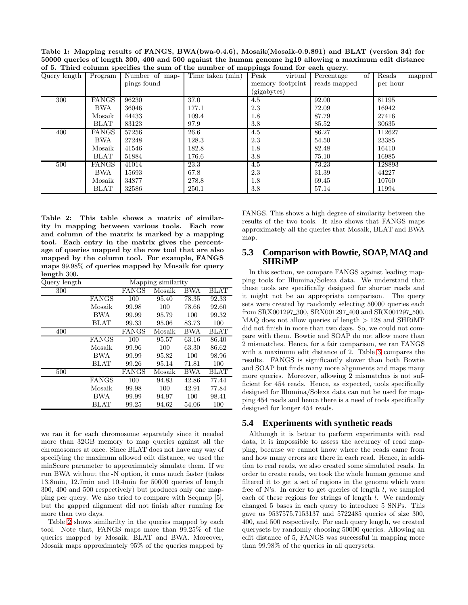<span id="page-5-0"></span>Table 1: Mapping results of FANGS, BWA(bwa-0.4.6), Mosaik(Mosaik-0.9.891) and BLAT (version 34) for 50000 queries of length 300, 400 and 500 against the human genome hg19 allowing a maximum edit distance of 5. Third column specifies the sum of the number of mappings found for each query.

| or or Thin a column specifies the same of the humber of mappings found for each query. |              |                |                  |                  |                  |                 |  |
|----------------------------------------------------------------------------------------|--------------|----------------|------------------|------------------|------------------|-----------------|--|
| Query length                                                                           | Program      | Number of map- | Time taken (min) | Peak<br>virtual  | Percentage<br>οf | Reads<br>mapped |  |
|                                                                                        |              | pings found    |                  | memory footprint | reads mapped     | per hour        |  |
|                                                                                        |              |                |                  | (gigabytes)      |                  |                 |  |
| 300                                                                                    | <b>FANGS</b> | 96230          | 37.0             | 4.5              | 92.00            | 81195           |  |
|                                                                                        | <b>BWA</b>   | 36046          | 177.1            | 2.3              | 72.09            | 16942           |  |
|                                                                                        | Mosaik       | 44433          | 109.4            | 1.8              | 87.79            | 27416           |  |
|                                                                                        | <b>BLAT</b>  | 83123          | 97.9             | 3.8              | 85.52            | 30635           |  |
| 400                                                                                    | <b>FANGS</b> | 57256          | 26.6             | 4.5              | 86.27            | 112627          |  |
|                                                                                        | <b>BWA</b>   | 27248          | 128.3            | 2.3              | 54.50            | 23385           |  |
|                                                                                        | Mosaik       | 41546          | 182.8            | 1.8              | 82.48            | 16410           |  |
|                                                                                        | <b>BLAT</b>  | 51884          | 176.6            | 3.8              | 75.10            | 16985           |  |
| 500                                                                                    | <b>FANGS</b> | 41014          | 23.3             | 4.5              | 73.23            | 128893          |  |
|                                                                                        | <b>BWA</b>   | 15693          | 67.8             | 2.3              | 31.39            | 44227           |  |
|                                                                                        | Mosaik       | 34877          | 278.8            | 1.8              | 69.45            | 10760           |  |
|                                                                                        | <b>BLAT</b>  | 32586          | 250.1            | 3.8              | 57.14            | 11994           |  |

<span id="page-5-1"></span>Table 2: This table shows a matrix of similarity in mapping between various tools. Each row and column of the matrix is marked by a mapping tool. Each entry in the matrix gives the percentage of queries mapped by the row tool that are also mapped by the column tool. For example, FANGS maps 99.98% of queries mapped by Mosaik for query length 300.

| Query length | Mapping similarity |              |        |            |             |  |
|--------------|--------------------|--------------|--------|------------|-------------|--|
| 300          |                    | <b>FANGS</b> | Mosaik | <b>BWA</b> | <b>BLAT</b> |  |
|              | <b>FANGS</b>       | 100          | 95.40  | 78.35      | 92.33       |  |
|              | Mosaik             | 99.98        | 100    | 78.66      | 92.60       |  |
|              | BWA                | 99.99        | 95.79  | 100        | 99.32       |  |
|              | BLAT               | 99.33        | 95.06  | 83.73      | 100         |  |
| 400          |                    | FANGS        | Mosaik | BWA        | BLAT        |  |
|              | <b>FANGS</b>       | 100          | 95.57  | 63.16      | 86.40       |  |
|              | Mosaik             | 99.96        | 100    | 63.30      | 86.62       |  |
|              | <b>BWA</b>         | 99.99        | 95.82  | 100        | 98.96       |  |
|              | <b>BLAT</b>        | 99.26        | 95.14  | 71.81      | 100         |  |
| 500          |                    | FANGS        | Mosaik | <b>BWA</b> | BLAT        |  |
|              | <b>FANGS</b>       | 100          | 94.83  | 42.86      | 77.44       |  |
|              | Mosaik             | 99.98        | 100    | 42.91      | 77.84       |  |
|              | BWA                | 99.99        | 94.97  | 100        | 98.41       |  |
|              | BLAT               | 99.25        | 94.62  | 54.06      | 100         |  |

we ran it for each chromosome separately since it needed more than 32GB memory to map queries against all the chromosomes at once. Since BLAT does not have any way of specifying the maximum allowed edit distance, we used the minScore parameter to approximately simulate them. If we run BWA without the -N option, it runs much faster (takes 13.8min, 12.7min and 10.4min for 50000 queries of length 300, 400 and 500 respectively) but produces only one mapping per query. We also tried to compare with Seqmap [5], but the gapped alignment did not finish after running for more than two days.

Table [2](#page-5-1) shows similarilty in the queries mapped by each tool. Note that, FANGS maps more than 99.25% of the queries mapped by Mosaik, BLAT and BWA. Moreover, Mosaik maps approximately 95% of the queries mapped by

FANGS. This shows a high degree of similarity between the results of the two tools. It also shows that FANGS maps approximately all the queries that Mosaik, BLAT and BWA map.

## **5.3 Comparison with Bowtie, SOAP, MAQ and SHRiMP**

In this section, we compare FANGS against leading mapping tools for Illumina/Solexa data. We understand that these tools are specifically designed for shorter reads and it might not be an appropriate comparison. The query sets were created by randomly selecting 50000 queries each from SRX001297 300, SRX001297 400 and SRX001297 500.  $MAQ$  does not allow queries of length  $> 128$  and SHRiMP did not finish in more than two days. So, we could not compare with them. Bowtie and SOAP do not allow more than 2 mismatches. Hence, for a fair comparison, we ran FANGS with a maximum edit distance of 2. Table [3](#page-6-1) compares the results. FANGS is significantly slower than both Bowtie and SOAP but finds many more alignments and maps many more queries. Moreover, allowing 2 mismatches is not sufficient for 454 reads. Hence, as expected, tools specifically designed for Illumina/Solexa data can not be used for mapping 454 reads and hence there is a need of tools specifically designed for longer 454 reads.

## **5.4 Experiments with synthetic reads**

Although it is better to perform experiments with real data, it is impossible to assess the accuracy of read mapping, because we cannot know where the reads came from and how many errors are there in each read. Hence, in addition to real reads, we also created some simulated reads. In order to create reads, we took the whole human genome and filtered it to get a set of regions in the genome which were free of N's. In order to get queries of length  $l$ , we sampled each of these regions for strings of length l. We randomly changed 5 bases in each query to introduce 5 SNPs. This gave us 9537575,7153137 and 5722485 queries of size 300, 400, and 500 respectively. For each query length, we created querysets by randomly choosing 50000 queries. Allowing an edit distance of 5, FANGS was successful in mapping more than 99.98% of the queries in all querysets.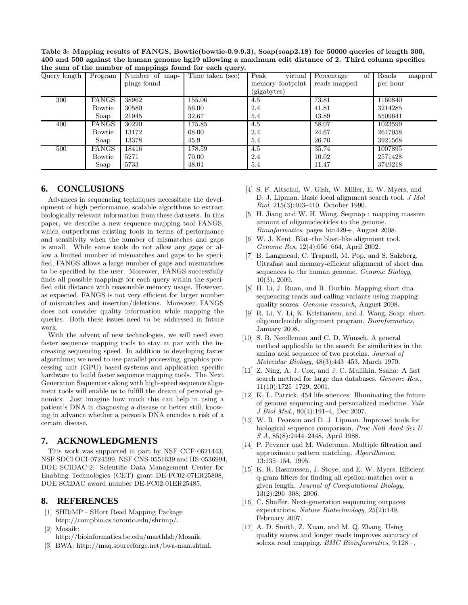| the sum of the number of mappings found for each query. |              |                |                  |                  |                  |                 |  |  |
|---------------------------------------------------------|--------------|----------------|------------------|------------------|------------------|-----------------|--|--|
| Query length                                            | Program      | Number of map- | Time taken (sec) | virtual<br>Peak  | Percentage<br>οf | Reads<br>mapped |  |  |
|                                                         |              | pings found    |                  | memory footprint | reads mapped     | per hour        |  |  |
|                                                         |              |                |                  | (gigabytes)      |                  |                 |  |  |
| 300                                                     | <b>FANGS</b> | 38962          | 155.06           | 4.5              | 73.81            | 1160840         |  |  |
|                                                         | Bowtie       | 30580          | 56.00            | 2.4              | 41.81            | 3214285         |  |  |
|                                                         | Soap         | 21945          | 32.67            | 5.4              | 43.89            | 5509641         |  |  |
| 400                                                     | <b>FANGS</b> | 30220          | 175.85           | 4.5              | 58.07            | 1023599         |  |  |
|                                                         | Bowtie       | 13172          | 68.00            | 2.4              | 24.67            | 2647058         |  |  |
|                                                         | Soap         | 13378          | 45.9             | 5.4              | 26.76            | 3921568         |  |  |
| 500                                                     | <b>FANGS</b> | 18416          | 178.59           | 4.5              | 35.74            | 1007895         |  |  |
|                                                         | Bowtie       | 5271           | 70.00            | 2.4              | 10.02            | 2571428         |  |  |
|                                                         | Soap         | 5733           | 48.01            | 5.4              | 11.47            | 3749218         |  |  |

<span id="page-6-1"></span>Table 3: Mapping results of FANGS, Bowtie(bowtie-0.9.9.3), Soap(soap2.18) for 50000 queries of length 300, 400 and 500 against the human genome hg19 allowing a maximum edit distance of 2. Third column specifies the sum of the number of mappings found for each query.

# <span id="page-6-0"></span>**6. CONCLUSIONS**

Advances in sequencing techniques necessitate the development of high performance, scalable algorithms to extract biologically relevant information from these datasets. In this paper, we describe a new sequence mapping tool FANGS, which outperforms existing tools in terms of performance and sensitivity when the number of mismatches and gaps is small. While some tools do not allow any gaps or allow a limited number of mismatches and gaps to be specified, FANGS allows a large number of gaps and mismatches to be specified by the user. Moreover, FANGS successfully finds all possible mappings for each query within the specified edit distance with reasonable memory usage. However, as expected, FANGS is not very efficient for larger number of mismatches and insertion/deletions. Moreover, FANGS does not consider quality information while mapping the queries. Both these issues need to be addressed in future work.

With the advent of new technologies, we will need even faster sequence mapping tools to stay at par with the increasing sequencing speed. In addition to developing faster algorithms; we need to use parallel processing, graphics processing unit (GPU) based systems and application specific hardware to build faster sequence mapping tools. The Next Generation Sequencers along with high-speed sequence alignment tools will enable us to fulfill the dream of personal genomics. Just imagine how much this can help in using a patient's DNA in diagnosing a disease or better still, knowing in advance whether a person's DNA encodes a risk of a certain disease.

# **7. ACKNOWLEDGMENTS**

This work was supported in part by NSF CCF-0621443, NSF SDCI OCI-0724599, NSF CNS-0551639 and IIS-0536994, DOE SCIDAC-2: Scientific Data Management Center for Enabling Technologies (CET) grant DE-FC02-07ER25808, DOE SCiDAC award number DE-FC02-01ER25485.

# **8. REFERENCES**

- [1] SHRiMP SHort Read Mapping Package http://compbio.cs.toronto.edu/shrimp/.
- [2] Mosaik: http://bioinformatics.bc.edu/marthlab/Mosaik.
- [3] BWA: http://maq.sourceforge.net/bwa-man.shtml.
- [4] S. F. Altschul, W. Gish, W. Miller, E. W. Myers, and D. J. Lipman. Basic local alignment search tool. J Mol Biol, 215(3):403–410, October 1990.
- [5] H. Jiang and W. H. Wong. Seqmap : mapping massive amount of oligonucleotides to the genome. Bioinformatics, pages btn429+, August 2008.
- [6] W. J. Kent. Blat–the blast-like alignment tool. Genome Res, 12(4):656–664, April 2002.
- [7] B. Langmead, C. Trapnell, M. Pop, and S. Salzberg. Ultrafast and memory-efficient alignment of short dna sequences to the human genome. Genome Biology, 10(3), 2009.
- [8] H. Li, J. Ruan, and R. Durbin. Mapping short dna sequencing reads and calling variants using mapping quality scores. Genome research, August 2008.
- [9] R. Li, Y. Li, K. Kristiansen, and J. Wang. Soap: short oligonucleotide alignment program. Bioinformatics, January 2008.
- [10] S. B. Needleman and C. D. Wunsch. A general method applicable to the search for similarities in the amino acid sequence of two proteins. Journal of Molecular Biology, 48(3):443–453, March 1970.
- [11] Z. Ning, A. J. Cox, and J. C. Mullikin. Ssaha: A fast search method for large dna databases. Genome Res., 11(10):1725–1729, 2001.
- [12] K. L. Patrick. 454 life sciences: Illuminating the future of genome sequencing and personalized medicine. Yale J Biol Med., 80(4):191–4, Dec 2007.
- [13] W. R. Pearson and D. J. Lipman. Improved tools for biological sequence comparison. Proc Natl Acad Sci U S A, 85(8):2444–2448, April 1988.
- [14] P. Pevzner and M. Waterman. Multiple filtration and approximate pattern matching. Algorithmica, 13:135–154, 1995.
- [15] K. R. Rasmussen, J. Stoye, and E. W. Myers. Efficient q-gram filters for finding all epsilon-matches over a given length. Journal of Computational Biology, 13(2):296–308, 2006.
- [16] C. Shaffer. Next-generation sequencing outpaces expectations. Nature Biotechnology, 25(2):149, February 2007.
- [17] A. D. Smith, Z. Xuan, and M. Q. Zhang. Using quality scores and longer reads improves accuracy of solexa read mapping. BMC Bioinformatics, 9:128+,